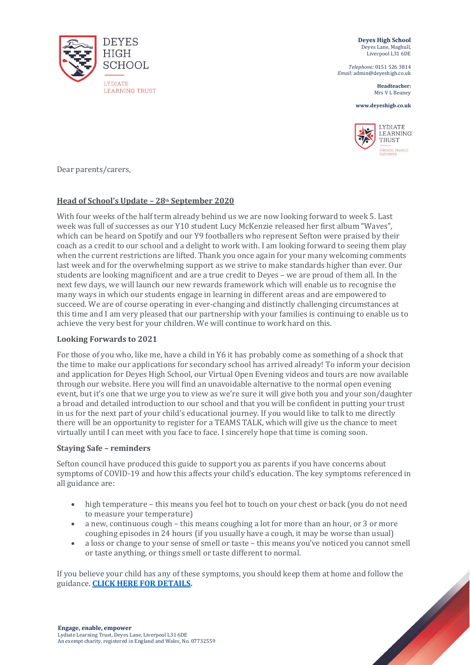

**Deyes High School** Deyes Lane, Maghull, Liverpool L31 6DE

*Telephone:* 0151 526 3814 *Email:* admin@deyeshigh.co.uk

> **Headteacher:**  Mrs V L Beaney

**www.deyeshigh.co.uk**



Dear parents/carers,

# **Head of School's Update – 28th September 2020**

With four weeks of the half term already behind us we are now looking forward to week 5. Last week was full of successes as our Y10 student Lucy McKenzie released her first album "Waves", which can be heard on Spotify and our Y9 footballers who represent Sefton were praised by their coach as a credit to our school and a delight to work with. I am looking forward to seeing them play when the current restrictions are lifted. Thank you once again for your many welcoming comments last week and for the overwhelming support as we strive to make standards higher than ever. Our students are looking magnificent and are a true credit to Deyes – we are proud of them all. In the next few days, we will launch our new rewards framework which will enable us to recognise the many ways in which our students engage in learning in different areas and are empowered to succeed. We are of course operating in ever-changing and distinctly challenging circumstances at this time and I am very pleased that our partnership with your families is continuing to enable us to achieve the very best for your children. We will continue to work hard on this.

## **Looking Forwards to 2021**

For those of you who, like me, have a child in Y6 it has probably come as something of a shock that the time to make our applications for secondary school has arrived already! To inform your decision and application for Deyes High School, our Virtual Open Evening videos and tours are now available through our website. Here you will find an unavoidable alternative to the normal open evening event, but it's one that we urge you to view as we're sure it will give both you and your son/daughter a broad and detailed introduction to our school and that you will be confident in putting your trust in us for the next part of your child's educational journey. If you would like to talk to me directly there will be an opportunity to register for a TEAMS TALK, which will give us the chance to meet virtually until I can meet with you face to face. I sincerely hope that time is coming soon.

## **Staying Safe – reminders**

Sefton council have produced this guide to support you as parents if you have concerns about symptoms of COVID-19 and how this affects your child's education. The key symptoms referenced in all guidance are:

- high temperature this means you feel hot to touch on your chest or back (you do not need to measure your temperature)
- a new, continuous cough this means coughing a lot for more than an hour, or 3 or more coughing episodes in 24 hours (if you usually have a cough, it may be worse than usual)
- a loss or change to your sense of smell or taste this means you've noticed you cannot smell or taste anything, or things smell or taste different to normal.

If you believe your child has any of these symptoms, you should keep them at home and follow the guidance. **[CLICK HERE FOR DETAILS.](https://mysefton.co.uk/wp-content/uploads/2020/09/Education_Flowchart_for_Parents_and_Carers-V1-page-001-scaled.jpg)**